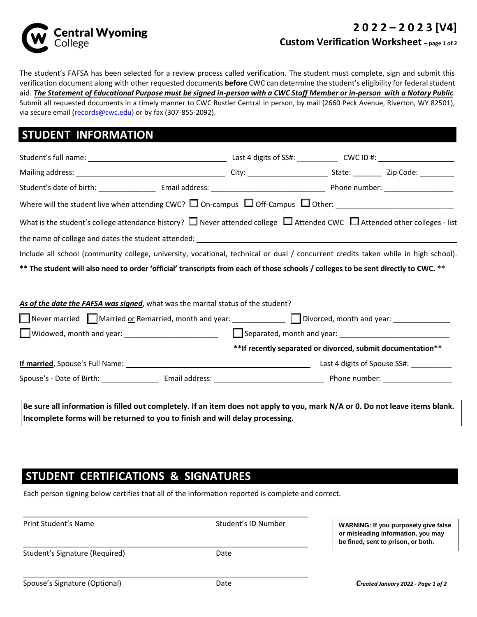

### **2 0 2 2 – 2 0 2 3 [V4] Custom Verification Worksheet – page 1 of 2**

The student's FAFSA has been selected for a review process called verification. The student must complete, sign and submit this verification document along with other requested documents **before** CWC can determine the student's eligibility for federal student aid. *The Statement of Educational Purpose must be signed in-person with a CWC Staff Member or in-person with a Notary Public*. Submit all requested documents in a timely manner to CWC Rustler Central in person, by mail (2660 Peck Avenue, Riverton, WY 82501), via secure email (records@cwc.edu) or by fax (307-855-2092).

### **STUDENT INFORMATION**

| What is the student's college attendance history? $\Box$ Never attended college $\Box$ Attended CWC $\Box$ Attended other colleges - list |                                                              |  |
|-------------------------------------------------------------------------------------------------------------------------------------------|--------------------------------------------------------------|--|
|                                                                                                                                           |                                                              |  |
| Include all school (community college, university, vocational, technical or dual / concurrent credits taken while in high school).        |                                                              |  |
| ** The student will also need to order 'official' transcripts from each of those schools / colleges to be sent directly to CWC. **        |                                                              |  |
| As of the date the FAFSA was signed, what was the marital status of the student?                                                          |                                                              |  |
| Never married Married or Remarried, month and year: University Divorced, month and year: University Married Ma                            |                                                              |  |
|                                                                                                                                           |                                                              |  |
|                                                                                                                                           | ** If recently separated or divorced, submit documentation** |  |
|                                                                                                                                           |                                                              |  |
|                                                                                                                                           |                                                              |  |
|                                                                                                                                           |                                                              |  |
| Be sure all information is filled out completely. If an item does not apply to you, mark N/A or 0. Do not leave items blank.              |                                                              |  |

**Incomplete forms will be returned to you to finish and will delay processing.**

## **STUDENT CERTIFICATIONS & SIGNATURES**

Each person signing below certifies that all of the information reported is complete and correct.

| or misleading information, you may<br>be fined, sent to prison, or both. |
|--------------------------------------------------------------------------|
| Date                                                                     |
|                                                                          |